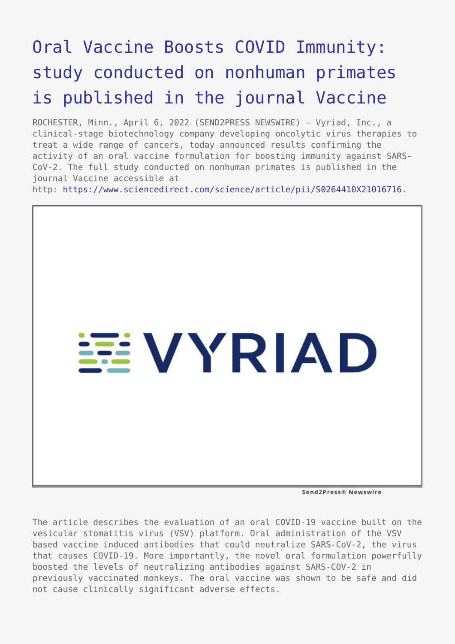## [Oral Vaccine Boosts COVID Immunity:](https://www.send2press.com/wire/oral-vaccine-boosts-covid-immunity-study-conducted-on-nonhuman-primates-is-published-in-the-journal-vaccine/) [study conducted on nonhuman primates](https://www.send2press.com/wire/oral-vaccine-boosts-covid-immunity-study-conducted-on-nonhuman-primates-is-published-in-the-journal-vaccine/) [is published in the journal Vaccine](https://www.send2press.com/wire/oral-vaccine-boosts-covid-immunity-study-conducted-on-nonhuman-primates-is-published-in-the-journal-vaccine/)

ROCHESTER, Minn., April 6, 2022 (SEND2PRESS NEWSWIRE) — Vyriad, Inc., a clinical-stage biotechnology company developing oncolytic virus therapies to treat a wide range of cancers, today announced results confirming the activity of an oral vaccine formulation for boosting immunity against SARS-CoV-2. The full study conducted on nonhuman primates is published in the journal Vaccine accessible at http: [https://www.sciencedirect.com/science/article/pii/S0264410X21016716.](https://www.sciencedirect.com/science/article/pii/S0264410X21016716)



Send2Press® Newswire

The article describes the evaluation of an oral COVID-19 vaccine built on the vesicular stomatitis virus (VSV) platform. Oral administration of the VSV based vaccine induced antibodies that could neutralize SARS-CoV-2, the virus that causes COVID-19. More importantly, the novel oral formulation powerfully boosted the levels of neutralizing antibodies against SARS-COV-2 in previously vaccinated monkeys. The oral vaccine was shown to be safe and did not cause clinically significant adverse effects.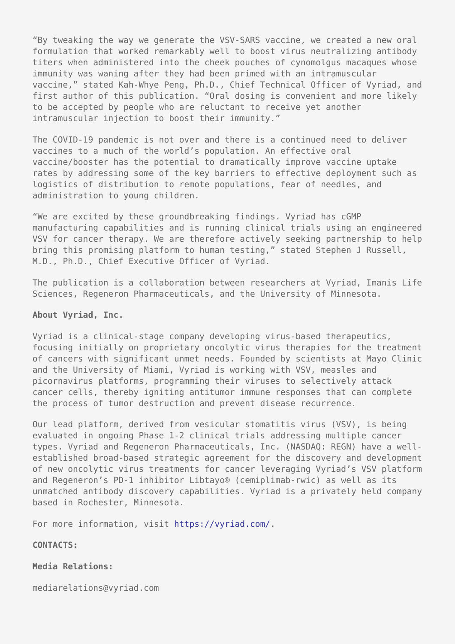"By tweaking the way we generate the VSV-SARS vaccine, we created a new oral formulation that worked remarkably well to boost virus neutralizing antibody titers when administered into the cheek pouches of cynomolgus macaques whose immunity was waning after they had been primed with an intramuscular vaccine," stated Kah-Whye Peng, Ph.D., Chief Technical Officer of Vyriad, and first author of this publication. "Oral dosing is convenient and more likely to be accepted by people who are reluctant to receive yet another intramuscular injection to boost their immunity."

The COVID-19 pandemic is not over and there is a continued need to deliver vaccines to a much of the world's population. An effective oral vaccine/booster has the potential to dramatically improve vaccine uptake rates by addressing some of the key barriers to effective deployment such as logistics of distribution to remote populations, fear of needles, and administration to young children.

"We are excited by these groundbreaking findings. Vyriad has cGMP manufacturing capabilities and is running clinical trials using an engineered VSV for cancer therapy. We are therefore actively seeking partnership to help bring this promising platform to human testing," stated Stephen J Russell, M.D., Ph.D., Chief Executive Officer of Vyriad.

The publication is a collaboration between researchers at Vyriad, Imanis Life Sciences, Regeneron Pharmaceuticals, and the University of Minnesota.

## **About Vyriad, Inc.**

Vyriad is a clinical-stage company developing virus-based therapeutics, focusing initially on proprietary oncolytic virus therapies for the treatment of cancers with significant unmet needs. Founded by scientists at Mayo Clinic and the University of Miami, Vyriad is working with VSV, measles and picornavirus platforms, programming their viruses to selectively attack cancer cells, thereby igniting antitumor immune responses that can complete the process of tumor destruction and prevent disease recurrence.

Our lead platform, derived from vesicular stomatitis virus (VSV), is being evaluated in ongoing Phase 1-2 clinical trials addressing multiple cancer types. Vyriad and Regeneron Pharmaceuticals, Inc. (NASDAQ: REGN) have a wellestablished broad-based strategic agreement for the discovery and development of new oncolytic virus treatments for cancer leveraging Vyriad's VSV platform and Regeneron's PD-1 inhibitor Libtayo® (cemiplimab-rwic) as well as its unmatched antibody discovery capabilities. Vyriad is a privately held company based in Rochester, Minnesota.

For more information, visit [https://vyriad.com/.](https://vyriad.com/)

**CONTACTS:**

**Media Relations:**

mediarelations@vyriad.com